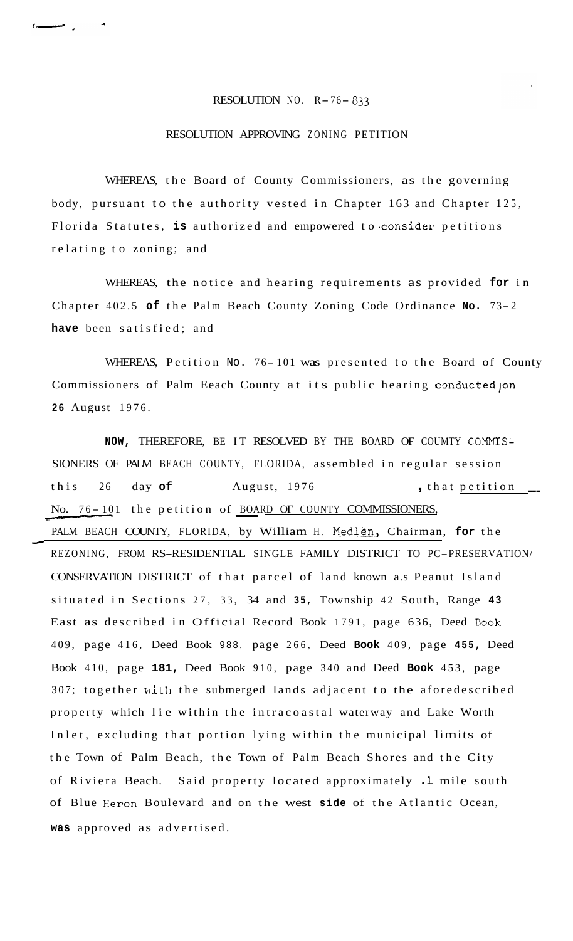## RESOLUTION NO. R- 76- *<sup>033</sup>*

## RESOLUTION APPROVING ZONING PETITION

WHEREAS, the Board of County Commissioners, as the governing body, pursuant to the authority vested in Chapter 163 and Chapter 125, Florida Statutes, is authorized and empowered to consider petitions relating to zoning; and

WHEREAS, the notice and hearing requirements as provided **for** in Chapter 402.5 **of** the Palm Beach County Zoning Code Ordinance **No.** 73- <sup>2</sup> **have** been satisfied; and

WHEREAS, Petition No. 76-101 was presented to the Board of County Commissioners of Palm Eeach County at its public hearing conductedjon **26** August 1976.

NOW, THEREFORE, BE IT RESOLVED BY THE BOARD OF COUMTY COMMIS-SIONERS OF PALM BEACH COUNTY, FLORIDA, assembled in regular session this 26 day of August, 1976 , that petition ---MOTHEREAS, Petition No. 76-101 was presented to the<br>Commissioners of Palm Eeach County at its public hearing c<br>26 August 1976.<br>NOW, THEREFORE, BE IT RESOLVED BY THE BOARD OF COU<br>SIONERS OF PALM BEACH COUNTY, FLORIDA, assem PALM BEACH COUNTY, FLORIDA, by William H. Medlen, Chairman, for the REZONING, FROM RS-RESIDENTIAL SINGLE FAMILY DISTRICT TO PC-PRESERVATION/ CONSERVATION DISTRICT of that parcel of land known a.s Peanut Island situated in Sections 27, 33, 34 and **35,** Township 42 South, Range **43**  East as described in Official Record Book 1791, page 636, Deed Book 409, page 416, Deed Book 988, page 266, Deed **Book** 409, page **455,** Deed Book 410, page **181,** Deed Book 910, page 340 and Deed **Book** 453, page 307; together with the submerged lands adjacent to the aforedescribed property which lie within the intracoastal waterway and Lake Worth Inlet, excluding that portion lying within the municipal limits of the Town of Palm Beach, the Town of Palm Beach Shores and the City of Riviera Beach. Said property located approximately .1 mile south of Blue Heron Boulevard and on the west **side** of the Atlantic Ocean, **was** approved as advertised.